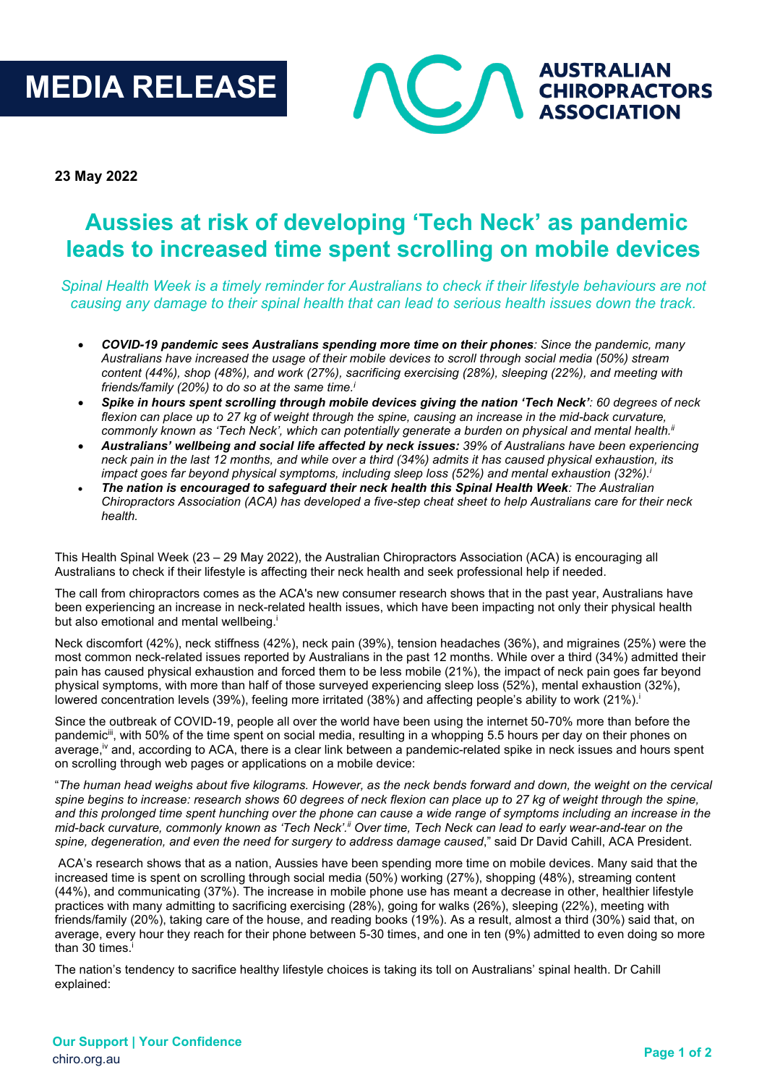# **MEDIA RELEASE**



**23 May 2022**

## **Aussies at risk of developing 'Tech Neck' as pandemic leads to increased time spent scrolling on mobile devices**

*Spinal Health Week is a timely reminder for Australians to check if their lifestyle behaviours are not causing any damage to their spinal health that can lead to serious health issues down the track.*

- *COVID-19 pandemic sees Australians spending more time on their phones: Since the pandemic, many Australians have increased the usage of their mobile devices to scroll through social media (50%) stream content (44%), shop (48%), and work (27%), sacrificing exercising (28%), sleeping (22%), and meeting with friends/family (20%) to do so at the same time.i*
- *Spike in hours spent scrolling through mobile devices giving the nation 'Tech Neck': 60 degrees of neck flexion can place up to 27 kg of weight through the spine, causing an increase in the mid-back curvature, commonly known as 'Tech Neck', which can potentially generate a burden on physical and mental health.ii*
- *Australians' wellbeing and social life affected by neck issues: 39% of Australians have been experiencing neck pain in the last 12 months, and while over a third (34%) admits it has caused physical exhaustion, its impact goes far beyond physical symptoms, including sleep loss (52%) and mental exhaustion (32%).*<sup>i</sup>
- *The nation is encouraged to safeguard their neck health this Spinal Health Week: The Australian Chiropractors Association (ACA) has developed a five-step cheat sheet to help Australians care for their neck health.*

This Health Spinal Week (23 – 29 May 2022), the Australian Chiropractors Association (ACA) is encouraging all Australians to check if their lifestyle is affecting their neck health and seek professional help if needed.

The call from chiropractors comes as the ACA's new consumer research shows that in the past year, Australians have been experiencing an increase in neck-related health issues, which have been impacting not only their physical health but also emotional and mental wellbeing.

Neck discomfort (42%), neck stiffness (42%), neck pain (39%), tension headaches (36%), and migraines (25%) were the most common neck-related issues reported by Australians in the past 12 months. While over a third (34%) admitted their pain has caused physical exhaustion and forced them to be less mobile (21%), the impact of neck pain goes far beyond physical symptoms, with more than half of those surveyed experiencing sleep loss (52%), mental exhaustion (32%), lowered concentration levels (39%), feeling more irritated (38%) and affecting people's ability to work (21%).

Since the outbreak of COVID-19, people all over the world have been using the internet 50-70% more than before the pandemic<sup>iii</sup>, with 50% of the time spent on social media, resulting in a whopping 5.5 hours per day on their phones on average,<sup>iv</sup> and, according to ACA, there is a clear link between a pandemic-related spike in neck issues and hours spent on scrolling through web pages or applications on a mobile device:

"*The human head weighs about five kilograms. However, as the neck bends forward and down, the weight on the cervical spine begins to increase: research shows 60 degrees of neck flexion can place up to 27 kg of weight through the spine, and this prolonged time spent hunching over the phone can cause a wide range of symptoms including an increase in the mid-back curvature, commonly known as 'Tech Neck'.ii Over time, Tech Neck can lead to early wear-and-tear on the spine, degeneration, and even the need for surgery to address damage caused*," said Dr David Cahill, ACA President.

ACA's research shows that as a nation, Aussies have been spending more time on mobile devices. Many said that the increased time is spent on scrolling through social media (50%) working (27%), shopping (48%), streaming content (44%), and communicating (37%). The increase in mobile phone use has meant a decrease in other, healthier lifestyle practices with many admitting to sacrificing exercising (28%), going for walks (26%), sleeping (22%), meeting with friends/family (20%), taking care of the house, and reading books (19%). As a result, almost a third (30%) said that, on average, every hour they reach for their phone between 5-30 times, and one in ten (9%) admitted to even doing so more than 30 times. i

The nation's tendency to sacrifice healthy lifestyle choices is taking its toll on Australians' spinal health. Dr Cahill explained: